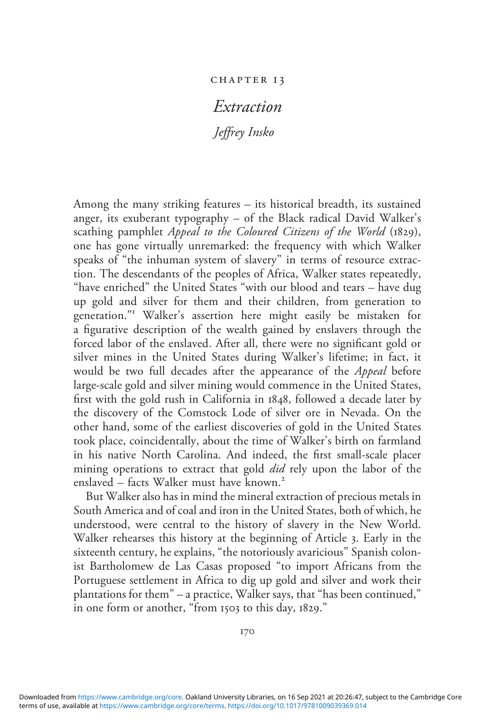#### chapter 1 3

# Extraction

Jeffrey Insko

Among the many striking features – its historical breadth, its sustained anger, its exuberant typography – of the Black radical David Walker's scathing pamphlet *Appeal to the Coloured Citizens of the World* (1829), one has gone virtually unremarked: the frequency with which Walker speaks of "the inhuman system of slavery" in terms of resource extraction. The descendants of the peoples of Africa, Walker states repeatedly, "have enriched" the United States "with our blood and tears – have dug up gold and silver for them and their children, from generation to generation." <sup>1</sup> Walker's assertion here might easily be mistaken for a figurative description of the wealth gained by enslavers through the forced labor of the enslaved. After all, there were no significant gold or silver mines in the United States during Walker's lifetime; in fact, it would be two full decades after the appearance of the Appeal before large-scale gold and silver mining would commence in the United States, first with the gold rush in California in 1848, followed a decade later by the discovery of the Comstock Lode of silver ore in Nevada. On the other hand, some of the earliest discoveries of gold in the United States took place, coincidentally, about the time of Walker's birth on farmland in his native North Carolina. And indeed, the first small-scale placer mining operations to extract that gold *did* rely upon the labor of the enslaved – facts Walker must have known.<sup>2</sup>

But Walker also has in mind the mineral extraction of precious metals in South America and of coal and iron in the United States, both of which, he understood, were central to the history of slavery in the New World. Walker rehearses this history at the beginning of Article 3. Early in the sixteenth century, he explains, "the notoriously avaricious" Spanish colonist Bartholomew de Las Casas proposed "to import Africans from the Portuguese settlement in Africa to dig up gold and silver and work their plantations for them" – a practice, Walker says, that "has been continued," in one form or another, "from 1503 to this day, 1829."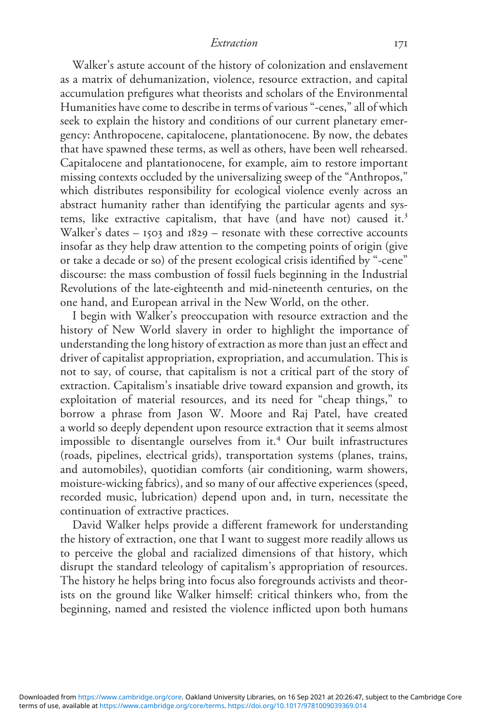Walker's astute account of the history of colonization and enslavement as a matrix of dehumanization, violence, resource extraction, and capital accumulation prefigures what theorists and scholars of the Environmental Humanities have come to describe in terms of various "-cenes," all of which seek to explain the history and conditions of our current planetary emergency: Anthropocene, capitalocene, plantationocene. By now, the debates that have spawned these terms, as well as others, have been well rehearsed. Capitalocene and plantationocene, for example, aim to restore important missing contexts occluded by the universalizing sweep of the "Anthropos," which distributes responsibility for ecological violence evenly across an abstract humanity rather than identifying the particular agents and systems, like extractive capitalism, that have (and have not) caused it.<sup>3</sup> Walker's dates – 1503 and 1829 – resonate with these corrective accounts insofar as they help draw attention to the competing points of origin (give or take a decade or so) of the present ecological crisis identified by "-cene" discourse: the mass combustion of fossil fuels beginning in the Industrial Revolutions of the late-eighteenth and mid-nineteenth centuries, on the one hand, and European arrival in the New World, on the other.

I begin with Walker's preoccupation with resource extraction and the history of New World slavery in order to highlight the importance of understanding the long history of extraction as more than just an effect and driver of capitalist appropriation, expropriation, and accumulation. This is not to say, of course, that capitalism is not a critical part of the story of extraction. Capitalism's insatiable drive toward expansion and growth, its exploitation of material resources, and its need for "cheap things," to borrow a phrase from Jason W. Moore and Raj Patel, have created a world so deeply dependent upon resource extraction that it seems almost impossible to disentangle ourselves from it.<sup>4</sup> Our built infrastructures (roads, pipelines, electrical grids), transportation systems (planes, trains, and automobiles), quotidian comforts (air conditioning, warm showers, moisture-wicking fabrics), and so many of our affective experiences (speed, recorded music, lubrication) depend upon and, in turn, necessitate the continuation of extractive practices.

David Walker helps provide a different framework for understanding the history of extraction, one that I want to suggest more readily allows us to perceive the global and racialized dimensions of that history, which disrupt the standard teleology of capitalism's appropriation of resources. The history he helps bring into focus also foregrounds activists and theorists on the ground like Walker himself: critical thinkers who, from the beginning, named and resisted the violence inflicted upon both humans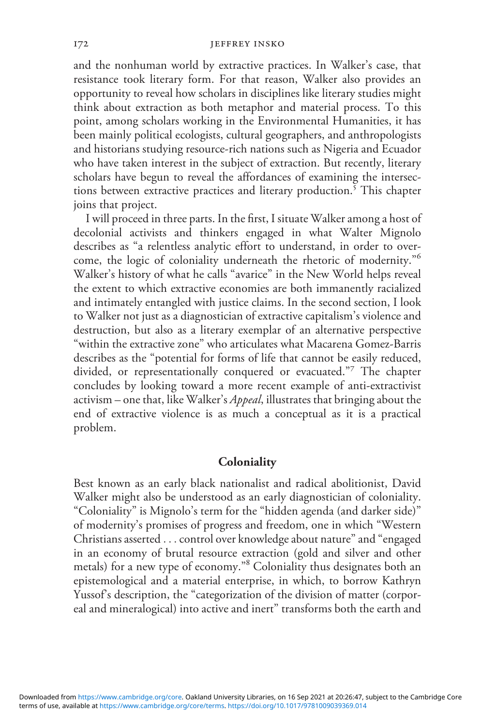and the nonhuman world by extractive practices. In Walker's case, that resistance took literary form. For that reason, Walker also provides an opportunity to reveal how scholars in disciplines like literary studies might think about extraction as both metaphor and material process. To this point, among scholars working in the Environmental Humanities, it has been mainly political ecologists, cultural geographers, and anthropologists and historians studying resource-rich nations such as Nigeria and Ecuador who have taken interest in the subject of extraction. But recently, literary scholars have begun to reveal the affordances of examining the intersections between extractive practices and literary production.<sup>5</sup> This chapter joins that project.

I will proceed in three parts. In the first, I situate Walker among a host of decolonial activists and thinkers engaged in what Walter Mignolo describes as "a relentless analytic effort to understand, in order to overcome, the logic of coloniality underneath the rhetoric of modernity."<sup>6</sup> Walker's history of what he calls "avarice" in the New World helps reveal the extent to which extractive economies are both immanently racialized and intimately entangled with justice claims. In the second section, I look to Walker not just as a diagnostician of extractive capitalism's violence and destruction, but also as a literary exemplar of an alternative perspective "within the extractive zone" who articulates what Macarena Gomez-Barris describes as the "potential for forms of life that cannot be easily reduced, divided, or representationally conquered or evacuated." <sup>7</sup> The chapter concludes by looking toward a more recent example of anti-extractivist activism – one that, like Walker's *Appeal*, illustrates that bringing about the end of extractive violence is as much a conceptual as it is a practical problem.

## **Coloniality**

Best known as an early black nationalist and radical abolitionist, David Walker might also be understood as an early diagnostician of coloniality. "Coloniality" is Mignolo's term for the "hidden agenda (and darker side)" of modernity's promises of progress and freedom, one in which "Western Christians asserted ... control over knowledge about nature" and "engaged in an economy of brutal resource extraction (gold and silver and other metals) for a new type of economy." <sup>8</sup> Coloniality thus designates both an epistemological and a material enterprise, in which, to borrow Kathryn Yussof's description, the "categorization of the division of matter (corporeal and mineralogical) into active and inert" transforms both the earth and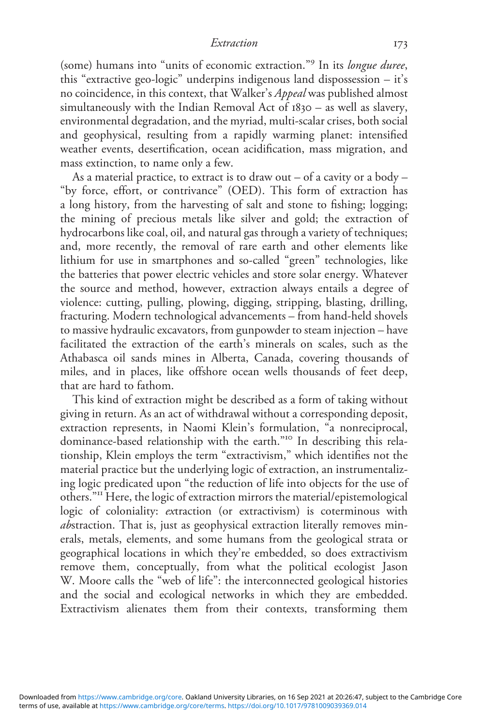(some) humans into "units of economic extraction."<sup>9</sup> In its longue duree, this "extractive geo-logic" underpins indigenous land dispossession – it's no coincidence, in this context, that Walker's Appeal was published almost simultaneously with the Indian Removal Act of 1830 – as well as slavery, environmental degradation, and the myriad, multi-scalar crises, both social and geophysical, resulting from a rapidly warming planet: intensified weather events, desertification, ocean acidification, mass migration, and mass extinction, to name only a few.

As a material practice, to extract is to draw out – of a cavity or a body – "by force, effort, or contrivance" (OED). This form of extraction has a long history, from the harvesting of salt and stone to fishing; logging; the mining of precious metals like silver and gold; the extraction of hydrocarbons like coal, oil, and natural gas through a variety of techniques; and, more recently, the removal of rare earth and other elements like lithium for use in smartphones and so-called "green" technologies, like the batteries that power electric vehicles and store solar energy. Whatever the source and method, however, extraction always entails a degree of violence: cutting, pulling, plowing, digging, stripping, blasting, drilling, fracturing. Modern technological advancements – from hand-held shovels to massive hydraulic excavators, from gunpowder to steam injection – have facilitated the extraction of the earth's minerals on scales, such as the Athabasca oil sands mines in Alberta, Canada, covering thousands of miles, and in places, like offshore ocean wells thousands of feet deep, that are hard to fathom.

This kind of extraction might be described as a form of taking without giving in return. As an act of withdrawal without a corresponding deposit, extraction represents, in Naomi Klein's formulation, "a nonreciprocal, dominance-based relationship with the earth." <sup>10</sup> In describing this relationship, Klein employs the term "extractivism," which identifies not the material practice but the underlying logic of extraction, an instrumentalizing logic predicated upon "the reduction of life into objects for the use of others." <sup>11</sup> Here, the logic of extraction mirrors the material/epistemological logic of coloniality: extraction (or extractivism) is coterminous with abstraction. That is, just as geophysical extraction literally removes minerals, metals, elements, and some humans from the geological strata or geographical locations in which they're embedded, so does extractivism remove them, conceptually, from what the political ecologist Jason W. Moore calls the "web of life": the interconnected geological histories and the social and ecological networks in which they are embedded. Extractivism alienates them from their contexts, transforming them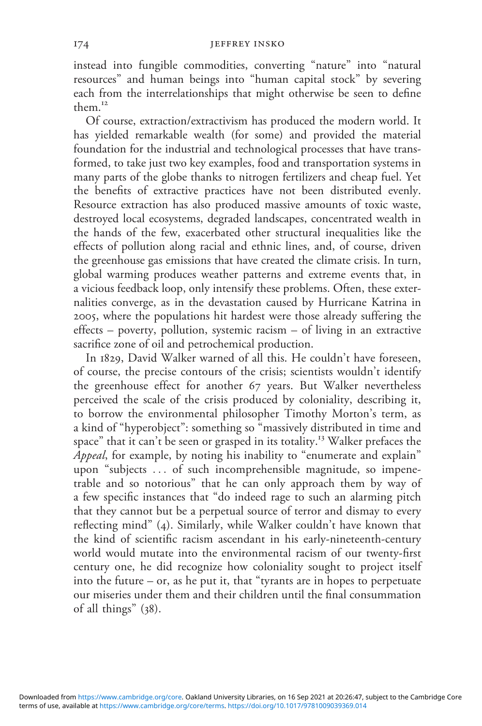#### 174 JEFFREY INSKO

instead into fungible commodities, converting "nature" into "natural resources" and human beings into "human capital stock" by severing each from the interrelationships that might otherwise be seen to define them.<sup>12</sup>

Of course, extraction/extractivism has produced the modern world. It has yielded remarkable wealth (for some) and provided the material foundation for the industrial and technological processes that have transformed, to take just two key examples, food and transportation systems in many parts of the globe thanks to nitrogen fertilizers and cheap fuel. Yet the benefits of extractive practices have not been distributed evenly. Resource extraction has also produced massive amounts of toxic waste, destroyed local ecosystems, degraded landscapes, concentrated wealth in the hands of the few, exacerbated other structural inequalities like the effects of pollution along racial and ethnic lines, and, of course, driven the greenhouse gas emissions that have created the climate crisis. In turn, global warming produces weather patterns and extreme events that, in a vicious feedback loop, only intensify these problems. Often, these externalities converge, as in the devastation caused by Hurricane Katrina in 2005, where the populations hit hardest were those already suffering the effects – poverty, pollution, systemic racism – of living in an extractive sacrifice zone of oil and petrochemical production.

In 1829, David Walker warned of all this. He couldn't have foreseen, of course, the precise contours of the crisis; scientists wouldn't identify the greenhouse effect for another 67 years. But Walker nevertheless perceived the scale of the crisis produced by coloniality, describing it, to borrow the environmental philosopher Timothy Morton's term, as a kind of "hyperobject": something so "massively distributed in time and space" that it can't be seen or grasped in its totality.<sup>13</sup> Walker prefaces the Appeal, for example, by noting his inability to "enumerate and explain" upon "subjects ... of such incomprehensible magnitude, so impenetrable and so notorious" that he can only approach them by way of a few specific instances that "do indeed rage to such an alarming pitch that they cannot but be a perpetual source of terror and dismay to every reflecting mind" (4). Similarly, while Walker couldn't have known that the kind of scientific racism ascendant in his early-nineteenth-century world would mutate into the environmental racism of our twenty-first century one, he did recognize how coloniality sought to project itself into the future – or, as he put it, that "tyrants are in hopes to perpetuate our miseries under them and their children until the final consummation of all things" (38).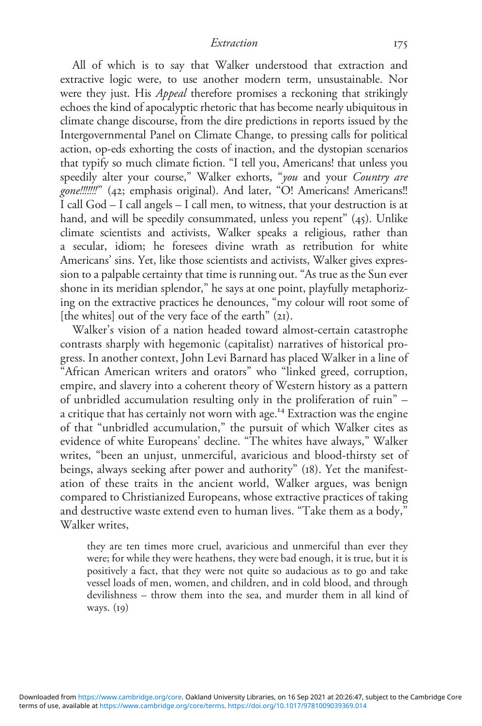All of which is to say that Walker understood that extraction and extractive logic were, to use another modern term, unsustainable. Nor were they just. His *Appeal* therefore promises a reckoning that strikingly echoes the kind of apocalyptic rhetoric that has become nearly ubiquitous in climate change discourse, from the dire predictions in reports issued by the Intergovernmental Panel on Climate Change, to pressing calls for political action, op-eds exhorting the costs of inaction, and the dystopian scenarios that typify so much climate fiction. "I tell you, Americans! that unless you speedily alter your course," Walker exhorts, "you and your Country are gone!!!!!!!" (42; emphasis original). And later, "O! Americans! Americans!! I call God – I call angels – I call men, to witness, that your destruction is at hand, and will be speedily consummated, unless you repent" (45). Unlike climate scientists and activists, Walker speaks a religious, rather than a secular, idiom; he foresees divine wrath as retribution for white Americans' sins. Yet, like those scientists and activists, Walker gives expression to a palpable certainty that time is running out. "As true as the Sun ever shone in its meridian splendor," he says at one point, playfully metaphorizing on the extractive practices he denounces, "my colour will root some of [the whites] out of the very face of the earth" (21).

Walker's vision of a nation headed toward almost-certain catastrophe contrasts sharply with hegemonic (capitalist) narratives of historical progress. In another context, John Levi Barnard has placed Walker in a line of "African American writers and orators" who "linked greed, corruption, empire, and slavery into a coherent theory of Western history as a pattern of unbridled accumulation resulting only in the proliferation of ruin" – a critique that has certainly not worn with age.<sup>14</sup> Extraction was the engine of that "unbridled accumulation," the pursuit of which Walker cites as evidence of white Europeans' decline. "The whites have always," Walker writes, "been an unjust, unmerciful, avaricious and blood-thirsty set of beings, always seeking after power and authority" (18). Yet the manifestation of these traits in the ancient world, Walker argues, was benign compared to Christianized Europeans, whose extractive practices of taking and destructive waste extend even to human lives. "Take them as a body," Walker writes.

they are ten times more cruel, avaricious and unmerciful than ever they were; for while they were heathens, they were bad enough, it is true, but it is positively a fact, that they were not quite so audacious as to go and take vessel loads of men, women, and children, and in cold blood, and through devilishness – throw them into the sea, and murder them in all kind of ways. (19)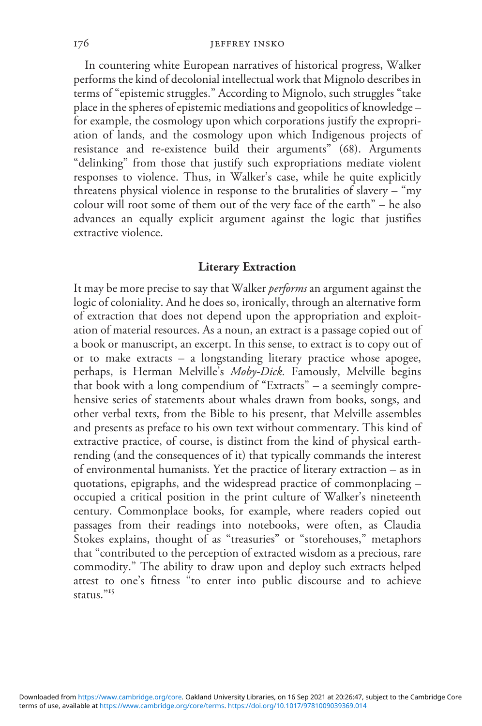In countering white European narratives of historical progress, Walker performs the kind of decolonial intellectual work that Mignolo describes in terms of "epistemic struggles." According to Mignolo, such struggles "take place in the spheres of epistemic mediations and geopolitics of knowledge – for example, the cosmology upon which corporations justify the expropriation of lands, and the cosmology upon which Indigenous projects of resistance and re-existence build their arguments" (68). Arguments "delinking" from those that justify such expropriations mediate violent responses to violence. Thus, in Walker's case, while he quite explicitly threatens physical violence in response to the brutalities of slavery – "my colour will root some of them out of the very face of the earth" – he also advances an equally explicit argument against the logic that justifies extractive violence.

## Literary Extraction

It may be more precise to say that Walker *performs* an argument against the logic of coloniality. And he does so, ironically, through an alternative form of extraction that does not depend upon the appropriation and exploitation of material resources. As a noun, an extract is a passage copied out of a book or manuscript, an excerpt. In this sense, to extract is to copy out of or to make extracts – a longstanding literary practice whose apogee, perhaps, is Herman Melville's Moby-Dick. Famously, Melville begins that book with a long compendium of "Extracts" – a seemingly comprehensive series of statements about whales drawn from books, songs, and other verbal texts, from the Bible to his present, that Melville assembles and presents as preface to his own text without commentary. This kind of extractive practice, of course, is distinct from the kind of physical earthrending (and the consequences of it) that typically commands the interest of environmental humanists. Yet the practice of literary extraction – as in quotations, epigraphs, and the widespread practice of commonplacing – occupied a critical position in the print culture of Walker's nineteenth century. Commonplace books, for example, where readers copied out passages from their readings into notebooks, were often, as Claudia Stokes explains, thought of as "treasuries" or "storehouses," metaphors that "contributed to the perception of extracted wisdom as a precious, rare commodity." The ability to draw upon and deploy such extracts helped attest to one's fitness "to enter into public discourse and to achieve status." 15

terms of use, available at [https://www.cambridge.org/core/terms.](https://www.cambridge.org/core/terms) <https://doi.org/10.1017/9781009039369.014> Downloaded from [https://www.cambridge.org/core.](https://www.cambridge.org/core) Oakland University Libraries, on 16 Sep 2021 at 20:26:47, subject to the Cambridge Core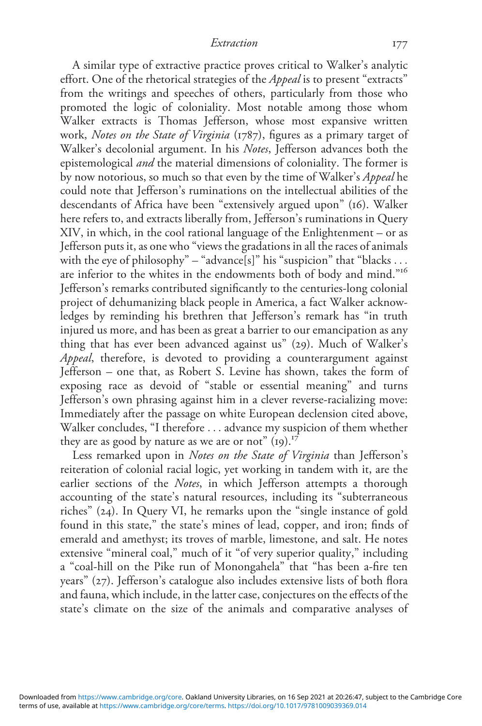A similar type of extractive practice proves critical to Walker's analytic effort. One of the rhetorical strategies of the *Appeal* is to present "extracts" from the writings and speeches of others, particularly from those who promoted the logic of coloniality. Most notable among those whom Walker extracts is Thomas Jefferson, whose most expansive written work, Notes on the State of Virginia (1787), figures as a primary target of Walker's decolonial argument. In his Notes, Jefferson advances both the epistemological and the material dimensions of coloniality. The former is by now notorious, so much so that even by the time of Walker's Appeal he could note that Jefferson's ruminations on the intellectual abilities of the descendants of Africa have been "extensively argued upon" (16). Walker here refers to, and extracts liberally from, Jefferson's ruminations in Query XIV, in which, in the cool rational language of the Enlightenment – or as Jefferson puts it, as one who "views the gradations in all the races of animals with the eye of philosophy" – "advance[s]" his "suspicion" that "blacks ... are inferior to the whites in the endowments both of body and mind."<sup>16</sup> Jefferson's remarks contributed significantly to the centuries-long colonial project of dehumanizing black people in America, a fact Walker acknowledges by reminding his brethren that Jefferson's remark has "in truth injured us more, and has been as great a barrier to our emancipation as any thing that has ever been advanced against us" (29). Much of Walker's Appeal, therefore, is devoted to providing a counterargument against Jefferson – one that, as Robert S. Levine has shown, takes the form of exposing race as devoid of "stable or essential meaning" and turns Jefferson's own phrasing against him in a clever reverse-racializing move: Immediately after the passage on white European declension cited above, Walker concludes, "I therefore ... advance my suspicion of them whether they are as good by nature as we are or not"  $(i)$ .<sup>17</sup>

Less remarked upon in Notes on the State of Virginia than Jefferson's reiteration of colonial racial logic, yet working in tandem with it, are the earlier sections of the Notes, in which Jefferson attempts a thorough accounting of the state's natural resources, including its "subterraneous riches" (24). In Query VI, he remarks upon the "single instance of gold found in this state," the state's mines of lead, copper, and iron; finds of emerald and amethyst; its troves of marble, limestone, and salt. He notes extensive "mineral coal," much of it "of very superior quality," including a "coal-hill on the Pike run of Monongahela" that "has been a-fire ten years" (27). Jefferson's catalogue also includes extensive lists of both flora and fauna, which include, in the latter case, conjectures on the effects of the state's climate on the size of the animals and comparative analyses of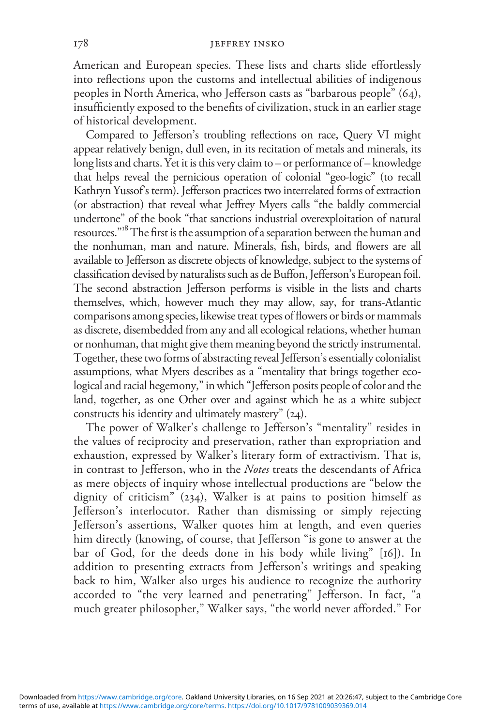American and European species. These lists and charts slide effortlessly into reflections upon the customs and intellectual abilities of indigenous peoples in North America, who Jefferson casts as "barbarous people" (64), insufficiently exposed to the benefits of civilization, stuck in an earlier stage of historical development.

Compared to Jefferson's troubling reflections on race, Query VI might appear relatively benign, dull even, in its recitation of metals and minerals, its long lists and charts. Yet it is this very claim to – or performance of – knowledge that helps reveal the pernicious operation of colonial "geo-logic" (to recall Kathryn Yussof's term). Jefferson practices two interrelated forms of extraction (or abstraction) that reveal what Jeffrey Myers calls "the baldly commercial undertone" of the book "that sanctions industrial overexploitation of natural resources."<sup>18</sup> The first is the assumption of a separation between the human and the nonhuman, man and nature. Minerals, fish, birds, and flowers are all available to Jefferson as discrete objects of knowledge, subject to the systems of classification devised by naturalists such as de Buffon, Jefferson's European foil. The second abstraction Jefferson performs is visible in the lists and charts themselves, which, however much they may allow, say, for trans-Atlantic comparisons among species, likewise treat types of flowers or birds or mammals as discrete, disembedded from any and all ecological relations, whether human or nonhuman, that might give them meaning beyond the strictly instrumental. Together, these two forms of abstracting reveal Jefferson's essentially colonialist assumptions, what Myers describes as a "mentality that brings together ecological and racial hegemony," in which "Jefferson posits people of color and the land, together, as one Other over and against which he as a white subject constructs his identity and ultimately mastery" (24).

The power of Walker's challenge to Jefferson's "mentality" resides in the values of reciprocity and preservation, rather than expropriation and exhaustion, expressed by Walker's literary form of extractivism. That is, in contrast to Jefferson, who in the Notes treats the descendants of Africa as mere objects of inquiry whose intellectual productions are "below the dignity of criticism"  $(234)$ , Walker is at pains to position himself as Jefferson's interlocutor. Rather than dismissing or simply rejecting Jefferson's assertions, Walker quotes him at length, and even queries him directly (knowing, of course, that Jefferson "is gone to answer at the bar of God, for the deeds done in his body while living" [16]). In addition to presenting extracts from Jefferson's writings and speaking back to him, Walker also urges his audience to recognize the authority accorded to "the very learned and penetrating" Jefferson. In fact, "a much greater philosopher," Walker says, "the world never afforded." For

terms of use, available at [https://www.cambridge.org/core/terms.](https://www.cambridge.org/core/terms) <https://doi.org/10.1017/9781009039369.014> Downloaded from [https://www.cambridge.org/core.](https://www.cambridge.org/core) Oakland University Libraries, on 16 Sep 2021 at 20:26:47, subject to the Cambridge Core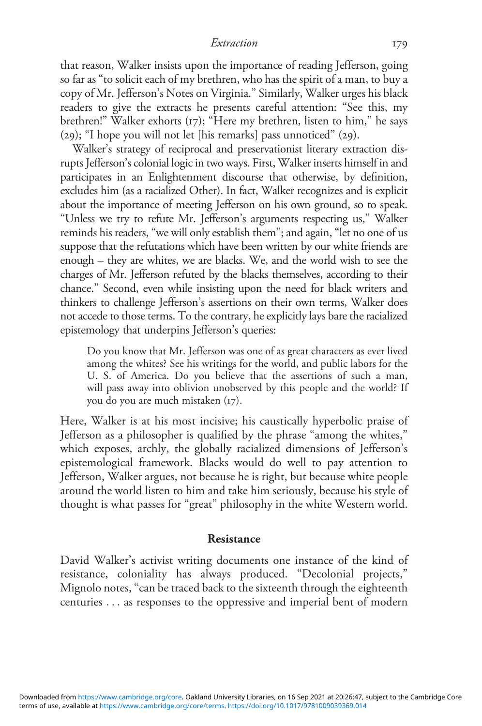that reason, Walker insists upon the importance of reading Jefferson, going so far as "to solicit each of my brethren, who has the spirit of a man, to buy a copy of Mr. Jefferson's Notes on Virginia." Similarly, Walker urges his black readers to give the extracts he presents careful attention: "See this, my brethren!" Walker exhorts (17); "Here my brethren, listen to him," he says (29); "I hope you will not let [his remarks] pass unnoticed" (29).

Walker's strategy of reciprocal and preservationist literary extraction disrupts Jefferson's colonial logic in two ways. First, Walker inserts himself in and participates in an Enlightenment discourse that otherwise, by definition, excludes him (as a racialized Other). In fact, Walker recognizes and is explicit about the importance of meeting Jefferson on his own ground, so to speak. "Unless we try to refute Mr. Jefferson's arguments respecting us," Walker reminds his readers, "we will only establish them"; and again, "let no one of us suppose that the refutations which have been written by our white friends are enough – they are whites, we are blacks. We, and the world wish to see the charges of Mr. Jefferson refuted by the blacks themselves, according to their chance." Second, even while insisting upon the need for black writers and thinkers to challenge Jefferson's assertions on their own terms, Walker does not accede to those terms. To the contrary, he explicitly lays bare the racialized epistemology that underpins Jefferson's queries:

Do you know that Mr. Jefferson was one of as great characters as ever lived among the whites? See his writings for the world, and public labors for the U. S. of America. Do you believe that the assertions of such a man, will pass away into oblivion unobserved by this people and the world? If you do you are much mistaken (17).

Here, Walker is at his most incisive; his caustically hyperbolic praise of Jefferson as a philosopher is qualified by the phrase "among the whites," which exposes, archly, the globally racialized dimensions of Jefferson's epistemological framework. Blacks would do well to pay attention to Jefferson, Walker argues, not because he is right, but because white people around the world listen to him and take him seriously, because his style of thought is what passes for "great" philosophy in the white Western world.

### Resistance

David Walker's activist writing documents one instance of the kind of resistance, coloniality has always produced. "Decolonial projects," Mignolo notes, "can be traced back to the sixteenth through the eighteenth centuries ... as responses to the oppressive and imperial bent of modern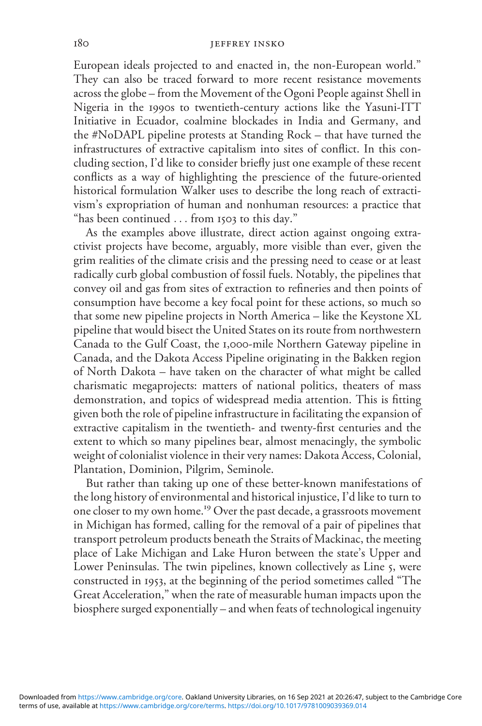European ideals projected to and enacted in, the non-European world." They can also be traced forward to more recent resistance movements across the globe – from the Movement of the Ogoni People against Shell in Nigeria in the 1990s to twentieth-century actions like the Yasuni-ITT Initiative in Ecuador, coalmine blockades in India and Germany, and the #NoDAPL pipeline protests at Standing Rock – that have turned the infrastructures of extractive capitalism into sites of conflict. In this concluding section, I'd like to consider briefly just one example of these recent conflicts as a way of highlighting the prescience of the future-oriented historical formulation Walker uses to describe the long reach of extractivism's expropriation of human and nonhuman resources: a practice that "has been continued ... from 1503 to this day."

As the examples above illustrate, direct action against ongoing extractivist projects have become, arguably, more visible than ever, given the grim realities of the climate crisis and the pressing need to cease or at least radically curb global combustion of fossil fuels. Notably, the pipelines that convey oil and gas from sites of extraction to refineries and then points of consumption have become a key focal point for these actions, so much so that some new pipeline projects in North America – like the Keystone XL pipeline that would bisect the United States on its route from northwestern Canada to the Gulf Coast, the 1,000-mile Northern Gateway pipeline in Canada, and the Dakota Access Pipeline originating in the Bakken region of North Dakota – have taken on the character of what might be called charismatic megaprojects: matters of national politics, theaters of mass demonstration, and topics of widespread media attention. This is fitting given both the role of pipeline infrastructure in facilitating the expansion of extractive capitalism in the twentieth- and twenty-first centuries and the extent to which so many pipelines bear, almost menacingly, the symbolic weight of colonialist violence in their very names: Dakota Access, Colonial, Plantation, Dominion, Pilgrim, Seminole.

But rather than taking up one of these better-known manifestations of the long history of environmental and historical injustice, I'd like to turn to one closer to my own home.<sup>19</sup> Over the past decade, a grassroots movement in Michigan has formed, calling for the removal of a pair of pipelines that transport petroleum products beneath the Straits of Mackinac, the meeting place of Lake Michigan and Lake Huron between the state's Upper and Lower Peninsulas. The twin pipelines, known collectively as Line 5, were constructed in 1953, at the beginning of the period sometimes called "The Great Acceleration," when the rate of measurable human impacts upon the biosphere surged exponentially – and when feats of technological ingenuity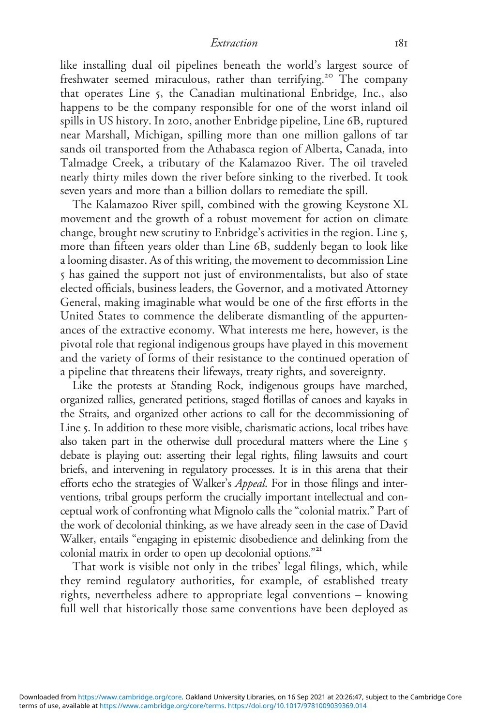like installing dual oil pipelines beneath the world's largest source of freshwater seemed miraculous, rather than terrifying.<sup>20</sup> The company that operates Line 5, the Canadian multinational Enbridge, Inc., also happens to be the company responsible for one of the worst inland oil spills in US history. In 2010, another Enbridge pipeline, Line 6B, ruptured near Marshall, Michigan, spilling more than one million gallons of tar sands oil transported from the Athabasca region of Alberta, Canada, into Talmadge Creek, a tributary of the Kalamazoo River. The oil traveled nearly thirty miles down the river before sinking to the riverbed. It took seven years and more than a billion dollars to remediate the spill.

The Kalamazoo River spill, combined with the growing Keystone XL movement and the growth of a robust movement for action on climate change, brought new scrutiny to Enbridge's activities in the region. Line 5, more than fifteen years older than Line 6B, suddenly began to look like a looming disaster. As of this writing, the movement to decommission Line 5 has gained the support not just of environmentalists, but also of state elected officials, business leaders, the Governor, and a motivated Attorney General, making imaginable what would be one of the first efforts in the United States to commence the deliberate dismantling of the appurtenances of the extractive economy. What interests me here, however, is the pivotal role that regional indigenous groups have played in this movement and the variety of forms of their resistance to the continued operation of a pipeline that threatens their lifeways, treaty rights, and sovereignty.

Like the protests at Standing Rock, indigenous groups have marched, organized rallies, generated petitions, staged flotillas of canoes and kayaks in the Straits, and organized other actions to call for the decommissioning of Line 5. In addition to these more visible, charismatic actions, local tribes have also taken part in the otherwise dull procedural matters where the Line 5 debate is playing out: asserting their legal rights, filing lawsuits and court briefs, and intervening in regulatory processes. It is in this arena that their efforts echo the strategies of Walker's Appeal. For in those filings and interventions, tribal groups perform the crucially important intellectual and conceptual work of confronting what Mignolo calls the "colonial matrix." Part of the work of decolonial thinking, as we have already seen in the case of David Walker, entails "engaging in epistemic disobedience and delinking from the colonial matrix in order to open up decolonial options."<sup>21</sup>

That work is visible not only in the tribes' legal filings, which, while they remind regulatory authorities, for example, of established treaty rights, nevertheless adhere to appropriate legal conventions – knowing full well that historically those same conventions have been deployed as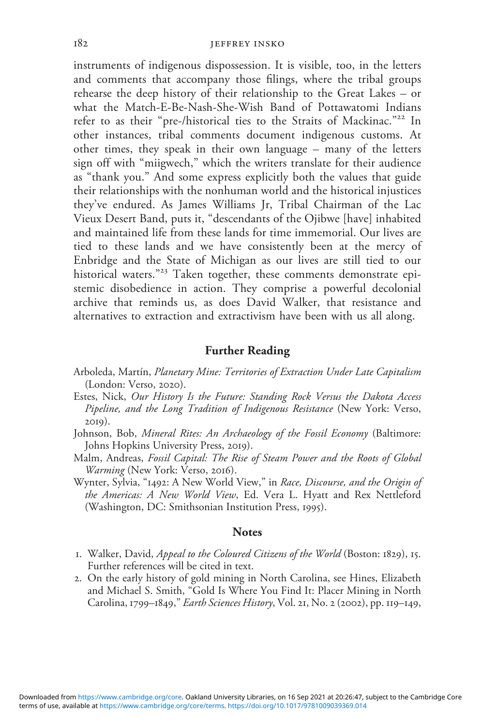instruments of indigenous dispossession. It is visible, too, in the letters and comments that accompany those filings, where the tribal groups rehearse the deep history of their relationship to the Great Lakes – or what the Match-E-Be-Nash-She-Wish Band of Pottawatomi Indians refer to as their "pre-/historical ties to the Straits of Mackinac."<sup>22</sup> In other instances, tribal comments document indigenous customs. At other times, they speak in their own language – many of the letters sign off with "miigwech," which the writers translate for their audience as "thank you." And some express explicitly both the values that guide their relationships with the nonhuman world and the historical injustices they've endured. As James Williams Jr, Tribal Chairman of the Lac Vieux Desert Band, puts it, "descendants of the Ojibwe [have] inhabited and maintained life from these lands for time immemorial. Our lives are tied to these lands and we have consistently been at the mercy of Enbridge and the State of Michigan as our lives are still tied to our historical waters." <sup>23</sup> Taken together, these comments demonstrate epistemic disobedience in action. They comprise a powerful decolonial archive that reminds us, as does David Walker, that resistance and alternatives to extraction and extractivism have been with us all along.

## Further Reading

- Arboleda, Martín, Planetary Mine: Territories of Extraction Under Late Capitalism (London: Verso, 2020).
- Estes, Nick, Our History Is the Future: Standing Rock Versus the Dakota Access Pipeline, and the Long Tradition of Indigenous Resistance (New York: Verso, 2019).
- Johnson, Bob, Mineral Rites: An Archaeology of the Fossil Economy (Baltimore: Johns Hopkins University Press, 2019).
- Malm, Andreas, Fossil Capital: The Rise of Steam Power and the Roots of Global Warming (New York: Verso, 2016).
- Wynter, Sylvia, "1492: A New World View," in Race, Discourse, and the Origin of the Americas: A New World View, Ed. Vera L. Hyatt and Rex Nettleford (Washington, DC: Smithsonian Institution Press, 1995).

### **Notes**

- 1. Walker, David, Appeal to the Coloured Citizens of the World (Boston: 1829), 15. Further references will be cited in text.
- 2. On the early history of gold mining in North Carolina, see Hines, Elizabeth and Michael S. Smith, "Gold Is Where You Find It: Placer Mining in North Carolina, 1799–1849," Earth Sciences History, Vol. 21, No. 2 (2002), pp. 119–149,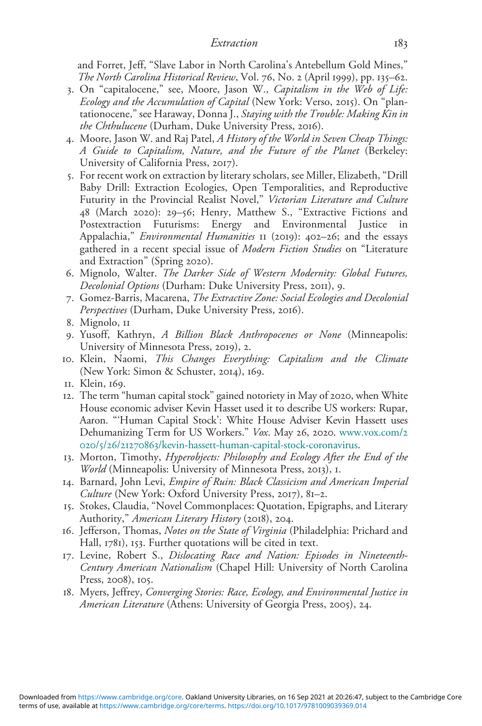and Forret, Jeff, "Slave Labor in North Carolina's Antebellum Gold Mines," The North Carolina Historical Review, Vol. 76, No. 2 (April 1999), pp. 135–62.

- 3. On "capitalocene," see, Moore, Jason W., Capitalism in the Web of Life: Ecology and the Accumulation of Capital (New York: Verso, 2015). On "plantationocene," see Haraway, Donna J., Staying with the Trouble: Making Kin in the Chthulucene (Durham, Duke University Press, 2016).
- 4. Moore, Jason W. and Raj Patel, A History of the World in Seven Cheap Things: A Guide to Capitalism, Nature, and the Future of the Planet (Berkeley: University of California Press, 2017).
- 5. For recent work on extraction by literary scholars, see Miller, Elizabeth, "Drill Baby Drill: Extraction Ecologies, Open Temporalities, and Reproductive Futurity in the Provincial Realist Novel," Victorian Literature and Culture 48 (March 2020): 29–56; Henry, Matthew S., "Extractive Fictions and Postextraction Futurisms: Energy and Environmental Justice Appalachia," *Environmental Humanities* II (2019): 402-26; and the essays gathered in a recent special issue of Modern Fiction Studies on "Literature and Extraction" (Spring 2020).
- 6. Mignolo, Walter. The Darker Side of Western Modernity: Global Futures, Decolonial Options (Durham: Duke University Press, 2011), 9.
- 7. Gomez-Barris, Macarena, The Extractive Zone: Social Ecologies and Decolonial Perspectives (Durham, Duke University Press, 2016).
- 8. Mignolo, 11
- 9. Yusoff, Kathryn, A Billion Black Anthropocenes or None (Minneapolis: University of Minnesota Press, 2019), 2.
- 10. Klein, Naomi, This Changes Everything: Capitalism and the Climate (New York: Simon & Schuster, 2014), 169.
- 11. Klein, 169.
- 12. The term "human capital stock" gained notoriety in May of 2020, when White House economic adviser Kevin Hasset used it to describe US workers: Rupar, Aaron. "'Human Capital Stock': White House Adviser Kevin Hassett uses Dehumanizing Term for US Workers." Vox. May 26, 2020. [www.vox.com/](http://www.vox.com/2020/5/26/21270863/kevin-hassett-human-capital-stock-coronavirus)2 020/5/26/21270863[/kevin-hassett-human-capital-stock-coronavirus.](http://www.vox.com/2020/5/26/21270863/kevin-hassett-human-capital-stock-coronavirus)
- 13. Morton, Timothy, Hyperobjects: Philosophy and Ecology After the End of the World (Minneapolis: University of Minnesota Press, 2013), 1.
- 14. Barnard, John Levi, Empire of Ruin: Black Classicism and American Imperial Culture (New York: Oxford University Press, 2017), 81–2.
- 15. Stokes, Claudia, "Novel Commonplaces: Quotation, Epigraphs, and Literary Authority," American Literary History (2018), 204.
- 16. Jefferson, Thomas, Notes on the State of Virginia (Philadelphia: Prichard and Hall, 1781), 153. Further quotations will be cited in text.
- 17. Levine, Robert S., Dislocating Race and Nation: Episodes in Nineteenth-Century American Nationalism (Chapel Hill: University of North Carolina Press, 2008), 105.
- 18. Myers, Jeffrey, Converging Stories: Race, Ecology, and Environmental Justice in American Literature (Athens: University of Georgia Press, 2005), 24.